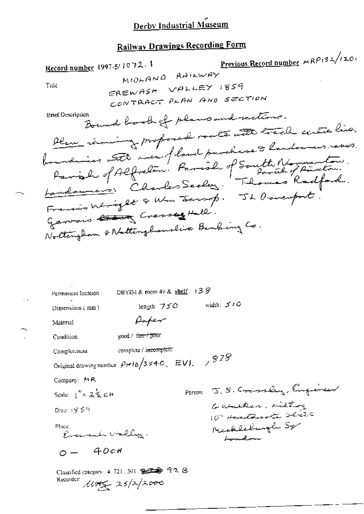# **Railway Drawings Recording Form**

| Previous Record number $MRP_132/(20)$<br>Record number 1997-5/1072.1                                              |  |
|-------------------------------------------------------------------------------------------------------------------|--|
| MIDLAND RAILWAY                                                                                                   |  |
| Title<br>EREWASH VALLEY 1859                                                                                      |  |
| CONTRACT PLAN AND SECTION                                                                                         |  |
| Brief Description<br>Bound book of plans and rections.<br>there in interest proposed radio with track untre live. |  |
|                                                                                                                   |  |
|                                                                                                                   |  |
| boundaires with men of land parchase & handowers raves.                                                           |  |
| Parish of Alfredom. Parish of South Normanton.                                                                    |  |
| <u>Landourne :</u> Charles Secles : Thomas Radford.                                                               |  |
| Francis Wright & Wm Jersep. JL Davenport.                                                                         |  |
|                                                                                                                   |  |
| Garvais Cresses Hall.                                                                                             |  |
| Noltengham & Nattinghamslive Banking Co.                                                                          |  |
|                                                                                                                   |  |
|                                                                                                                   |  |
|                                                                                                                   |  |
|                                                                                                                   |  |
| DBYIM & room 49 & shelf: $139$<br>Permanent location                                                              |  |
| width: $510$<br>length: $750$<br>Dimensions $(mn)$                                                                |  |
| Paper<br>Material                                                                                                 |  |
| good / farry poor<br>Condition                                                                                    |  |
| complete / i <del>ncompl</del> ete<br>Completeness                                                                |  |
| Original drawing number $p_{\text{rf}}/3$ s 4-0, $EVI$ , $\rightarrow$ $S2S$                                      |  |
| Company: MR                                                                                                       |  |
| Person: J. S. Crassley, Engineer<br>Scale: $\int_{0}^{R} = 2\frac{1}{2}cH$                                        |  |
| Guacher, Litting                                                                                                  |  |
| Date: 19.59                                                                                                       |  |
| 10° Hanthante delite                                                                                              |  |
| Reschlechungle Sp<br>Phice.<br>Evenant Valley.                                                                    |  |
| Landon<br>$0 - 40c$ H                                                                                             |  |
| Classified category: 4, 721, 301, 第三章 92 B<br>Recorder:                                                           |  |

 $\ddot{\phi}$  ,

L.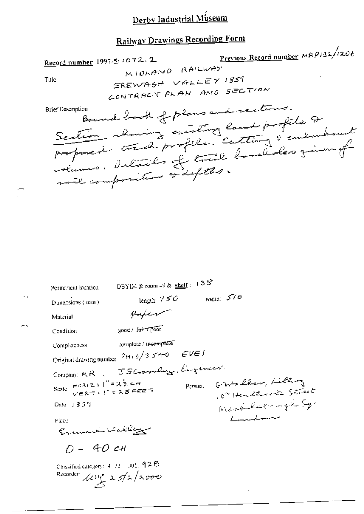## **Railway Drawings Recording Form**

Previous Record number  $MRP/32/1206$ Record number 1997-5/1072.2 MIORAND RAILWAY EREWASH VALLEY 1859 Title CONTRACT PLAN AND SECTION Bound book of plans and rections. **Brief Description** Section channel entitelle cutter de endemand volumes, details of true bonetiles given of DBYIM & room 49 & shelf :  $13\overline{S}$ Permanent location width:  $570$ length:  $750$ Dimensions (mm) poper Material good / fair / poor Condition complete / incomplete Completeness Original drawing number  $P$ Hi  $b/3$   $540$   $EVEI$ Company: MR . JSC-maring Engineer.

Person:

GWalker, Lilton

Landonne

10 Henthorite Street

Medillaringen Sq.

Scale:  $H^{\sigma R}(Z)$ :  $I^{\prime\prime} = 2\frac{1}{2}$ c $H$ <br> $V^{\sigma}R$ T:  $I^{\prime\prime} = 25$ FEET

 $Date = 135'i$ 

Place

Ensuine Valley

 $0 - 40c +$ 

Classified category: 4-721-301, 92B Recorder  $\mu u$  25/2/2000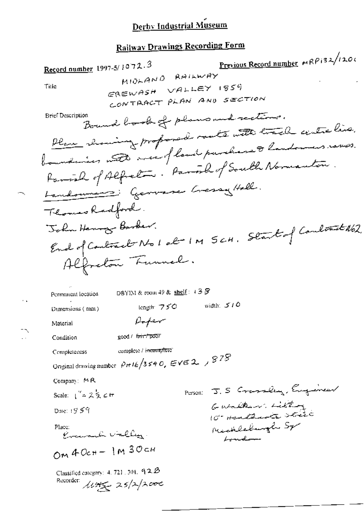## **Railway Drawings Recording Form**

Previous Record number MRP132/1200 Record number 1997-5/1072.3 MIDLAND RAILWAY EREWASH VALLEY 1859 Title CONTRACT PLAN AND SECTION Bound book of plans and rections. **Brief Description** Place channing proposed rate with track centre line. boundaries notes miselfland parchase & landowners raves. Farial of Alfred . Paral of South Normanton. Landonness: Genvere Gersy Hell. Thomas Radford. John Henry Barber. End of Contract No 1 about M 5 cm. Start of Contract No2. Alfreton Funnel. DBYIM & room 49 &  $\frac{\text{shell}}{2}$ : 4 3  $\frac{5}{2}$ Permanent location width:  $510$ length: 750 Dimensions (nint) Poper Material good / first poor Condition complete / incomplete" Completeness Onginal drawing number  $P_H$ 16/3540, EVE 2,  $/$   $978$ Company: MR Parson: J. S Crassley, Engineer Scale:  $\int_{0}^{\pi} 2 \frac{1}{2} \mathcal{L} \pi$ Gualkin. Litting Date: 1959 10° Harthurts state Michleburgh Sp Place: Evenant vieller. Landon OM  $40c + - 1M$   $30c$ Classified category:  $4.721.301.92B$ Recorder: 11945 25/2/2000

 $\sim$  .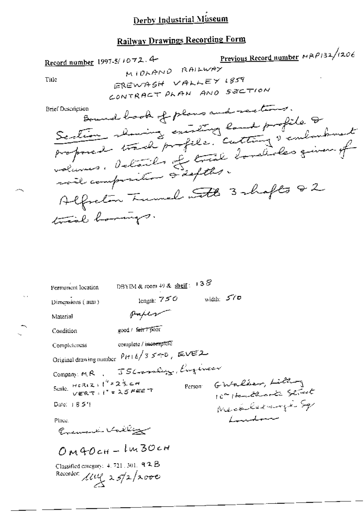### **Railway Drawings Recording Form**

Previous Record number MAP132/1206 Record number 1997-5/1072.4-MIDLAND RAILWAY EREWASH VALLEY 1859 Title CONTRACT PLAN AND SECTION Bound book of plans and rections. **Brief Description** Section showing existing land profile & proposed track profile. Cutting I embarbant volumes. Details of true Imalides given of will composition à defths. Alfredom Tunnel with 3 shafts 82 trial horings. DBYIM & room 49 &  $\frac{\text{shelf}}{2}$  = 13  $S$ Permanent location width:  $570$ length:  $750$ Dimensions (mm) poper Material good / ferr 7 poor Condition complete / incomplete Completeness Original drawing number  $P(t + k/3 \leq t > 0$ , EVEZ Company MR, JSGroothy, Engineer GWalker, Litting Person: 10th Headlington Street Merkeleringe Sp Date: 1854 Laudan Place. Enemand Valley  $OM4OCH - Im3OCH$ 

Classified category: 4, 721, 301, 92B Recorder:  $\mu v$  25/2/2000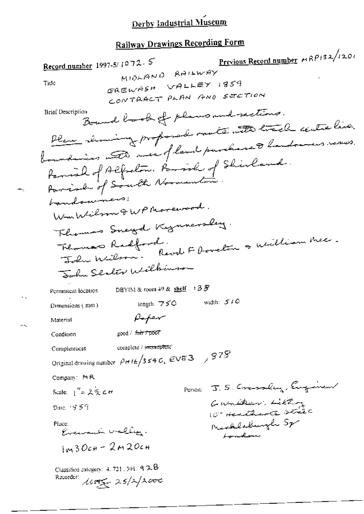Previous Record number  $\kappa R \rho$ 132/1201 Record number 1997-5/1072.5 MIDLAND RAILWAY EREWASH VALLEY 1859 Title CONTRACT PLAN AND SECTION Bound book of plans and rections. **Brief Description** Plan mining proposal matemate track centre live. boundaries with mea of land purchase to landowners resurs. Famial of Alfreton. Family of Shirland. boundowners! WmWilson QWPMorewood. Thomas Sneyd Kynnerslag. Thomas Radford.<br>John Milson. Revel F borclin & William Mec. John Sexter Wilbinson DBYIM & room 49 & shelf . 13 F Permanent location width:  $510$ length:  $750$ Dimensions (mm)  $\beta$ oper Material good / fair / poor Condition complete / incomplete Completeness Original drawing number  $p_H/\epsilon/3$  s 4 G,  $EVE3$  /  $975$ Company: MR POTSON: J.S. Cransley, Eugene Scale:  $1'' = 2\frac{1}{2}$  c tr Gunder, Litty Date: 19.59 Mecklechungh Sp Place: Evenante vallen. London  $1<sub>m</sub>$ 30ch - 2 $m$ 20ch Classified cologory: 4, 721, 501, 9 2.B Recorder: 14045 25/2/2000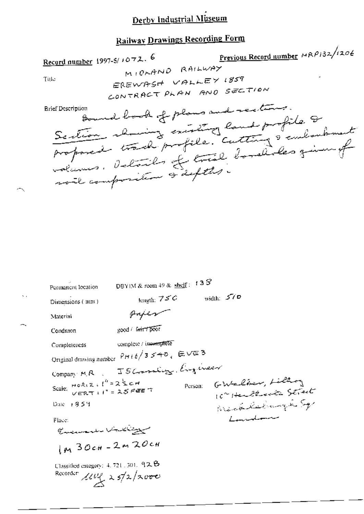### **Railway Drawings Recording Form**

Previous Record number MRP132/1206 Record number 1997-5/1072. 6 MIORAND RAILWAY EREWASH VALLEY 1859 Title CONTRACT PLAN AND SECTION Bound book of plans and sections. **Erief Description** Section showing existing land profile. & volumes. Details of trail bordicles given of will composition is defter. DBYIM & room 49 & shelf :  $13S$ Permanent lecation length:  $75C$  width:  $57D$ Dimensions (mm) paper Material good / Grit7poor Condition complete / incomplete Completeness Original drawing number  $PH + E/3 \le 40$ , EVE 3 Company MR J 5 Granding, Engineer GWalter, Lilling Scale:  $HOR(2, 1^h = 2^h)$  c  $HOR(2, 1^h) = 2.5$  Fee T Person: 10" Herberita Street West lehungh Sp Daie 1859 Landonne Place: في مستخصص المستخدمة المستخدمة

 $1<sub>M</sub>$  30cm - 2m 20cm

Classified category: 4, 721, 301, 92.B Recorder  $\mu v_1$  25/2/2000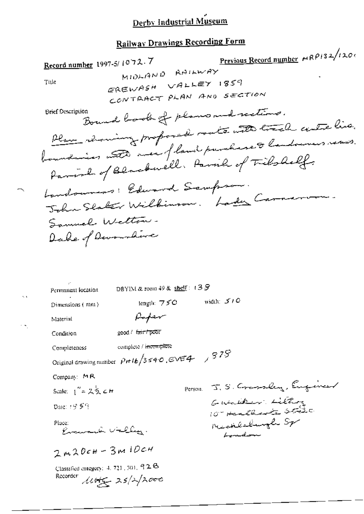## **Railway Drawings Recording Form**

Previous Record number  $MRP/32/120$ Record number 1997-5/1072.7 MIDLAND RAILWAY EREWASH VALLEY 1859 Title CONTRACT PLAN AND SECTION Bound book of plans und rections. **Brief Description** Plan channing proposed rate with track until line. boundaries auto avec fland purchase dendouses varis. Parish of Blackwell, Parish of Tilshelf. Landowness: Edward Sampson. John Slaker Wilbinson. Lady Carnervan. Samuel Wetton. Dake of Devoumbure DBYIM & room 49 &  $shelf: 138$ Permanent location width:  $510$ length:  $750$ Dimensions (mm)  $\beta$ mper Material good / fair/poor Condition complete / incomplete Completeness<sup>1</sup> Original drawing number  $p$ rt 16/3540. EVE4 / 978 Company: MR Person. J. S. Crassley, Engineer Scale:  $1'' = 2\frac{1}{2} cH$ Gunder Litting Date: 19.5 9 Mechlechungle Sp Place: Evenant Valley. Landon  $2m20cm-3m10cm$ Classified entegory: 4, 721, 301, 92B Recorder library 25/2/2000

 $\ddot{a}$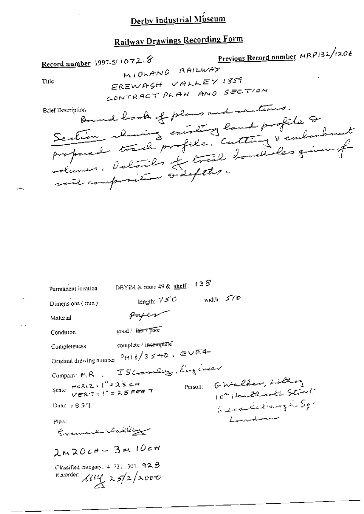## **Railway Drawings Recording Form**

Previous Record number MRP132/1206 Record number 1997-5/1072.8 MIOLAND RAILWAY EREWASH VALLEY 1859 Title CONTRACT PLAN AND SECTION Bound book of plans and rections. Section showing existing land profile 8 **Brief Description** 

| Permanent iocation                                                                      | DBYIM & room 49 & shelf : | 138 |                                                   |  |
|-----------------------------------------------------------------------------------------|---------------------------|-----|---------------------------------------------------|--|
| Dimensions (mm)                                                                         | length: $750$             |     | width: $570$                                      |  |
| Material                                                                                | $\mu$ ryen                |     |                                                   |  |
| Condition                                                                               | good / fair / poor        |     |                                                   |  |
| Completeness                                                                            | complete / incemplete     |     |                                                   |  |
| Original drawing number $P_H + \epsilon/3 \leq +\epsilon$ , $\epsilon \vee \epsilon$ 4- |                           |     |                                                   |  |
| Company MR JSC-on-leg, Evgineer                                                         |                           |     |                                                   |  |
| Scale: $\frac{\text{Hekz}}{\text{VERT}}$ : $t'' = 25$ FEE 7                             |                           |     | Person: GWalker, Littlery<br>10" Healthack Street |  |
| Date: 1659                                                                              |                           |     | West Echange Sp                                   |  |
| Place                                                                                   |                           |     | Laudenne                                          |  |
| Evening Valley                                                                          |                           |     |                                                   |  |
| $2 \times 2004 - 3 \times 1004$                                                         |                           |     |                                                   |  |
| Classified category: 4, 721, 301, 92 B<br>Recorder: $\mu_{\ell}$ 25/2/2000              |                           |     |                                                   |  |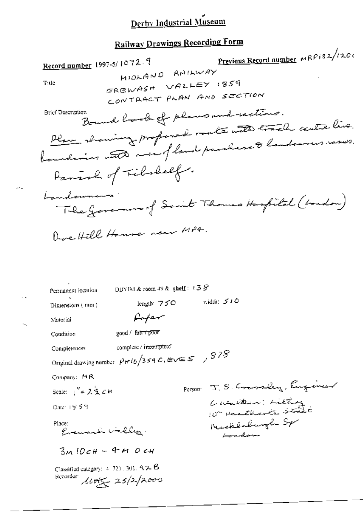Previous Record number MRP132/1200 Record number 1997-5/1072.9 MIOLAND RAILWAY EREWASH VALLEY 1859 Title CONTRACT PLAN AND SECTION Bound book of plans and rections. **Brief Description** Plan showing proposed route with track centre live. boundaries und mei fland purchase à landoures rames. Parish of Fibrally. Landowners. The governors of Saint Thomas Hospital (boundou) Dove Hill House near MP4. DBYIM & room 49 & shelf:  $138$ Permanent iocation length:  $750$  width:  $510$ Dimensions (mm) faper Material good / fair / poor Condition complete / incomplete Complèteness Original drawing number  $p_{H1b}/3$  sq.C, EVE S  $\leftarrow$   $978$ Company: MR Person J.S. Commeley, Engineer Scale:  $1'' = 2\frac{1}{2}$  c H Gunden, Litting Date: 19 59 Mechlechungh Sp Place: Evenanti Valley. Landon  $3MIOCH - 4MIOCH$ Classified category: 4-721, 301, 9, 2, B Recorder  $\text{Lipf}_{\mathcal{L}}$  25/2/2000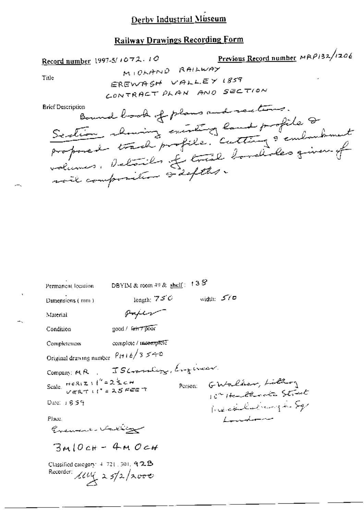Previous Record number MRP132/1206 Record number 1997-5/1072.10 MICHAND RAILWAY Title EREWASH VALLEY 1859 CONTRACT PLAN AND SECTION Bound book of plans and rections. **Brief Description** Section showing existing land profile 2<br>proposed track profile. Cutting & emborshment

| Permanent location                                                            | DBYIM & room 49 & shelf:           | 133     |              |                                         |  |
|-------------------------------------------------------------------------------|------------------------------------|---------|--------------|-----------------------------------------|--|
| Dimensions (mm)                                                               | length: $75^\circ$                 |         | width: $570$ |                                         |  |
| Material                                                                      | orper                              |         |              |                                         |  |
| Condition                                                                     | good / fair / pour                 |         |              |                                         |  |
| Completeness                                                                  | complete / incemplete              |         |              |                                         |  |
| Original drawing number $P(t + b / 3 \leq t + 0$                              |                                    |         |              |                                         |  |
|                                                                               | Company: MR, JSC-ombigg, Engineer. |         |              |                                         |  |
| Scale. Heriz : $\binom{n}{i} = 2$ $\sum c_i$ Here T                           |                                    | Person: |              | GWalker, Litton<br>10 Harlthante Street |  |
| Date: 1859                                                                    |                                    |         |              | President in Sq.                        |  |
| Place.                                                                        |                                    |         |              | Loudon                                  |  |
| Exement Vating                                                                |                                    |         |              |                                         |  |
| $3m10cH - 4M0cH$                                                              |                                    |         |              |                                         |  |
| Classified category: $4, 721, 301, 9, 2, 25$<br>Recorder: $\mu v_1$ 25/2/2000 |                                    |         |              |                                         |  |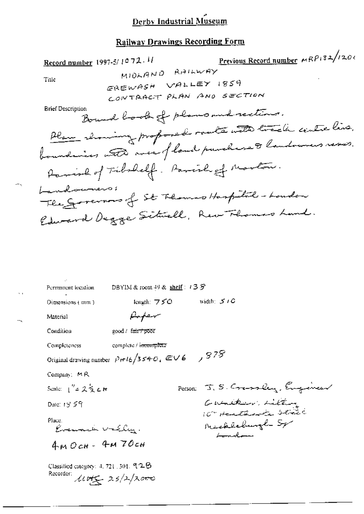## **Railway Drawings Recording Form**

| Record number 1997-5/1072.11 | Previous Record number MRP132/1201   |           |
|------------------------------|--------------------------------------|-----------|
| Title                        | M10119110                            | R11111147 |
| File                         | M101111                              | R1111147  |
| File                         | CP11111                              |           |
| Dirich $965$                 | CP1111                               |           |
| Dirich $065$                 | CP1111                               |           |
| Pric $185$                   |                                      |           |
| First                        | Row TARET                            | PLAM      |
| Parting                      | Row 10                               |           |
| Parting                      | Row 10                               |           |
| Parting                      | Row 10                               |           |
| Quantities                   | Row 10                               |           |
| Quantities                   | Row 10                               |           |
| Quantities                   | Row 10                               |           |
| Formment                     | row 10                               |           |
| Formment                     | New                                  |           |
| Pattern                      | New                                  |           |
| Pattern                      | New                                  |           |
| Formment                     | New                                  |           |
| Formment                     | DS11N&room + 9 & <u>shell</u> : 139  |           |
| Dimension                    | DS11N& room + 9 & <u>shell</u> : 139 |           |
| Dimension                    | Day 10                               |           |
| Material                     | Day 10                               |           |

| Региянски кузапи,                                    | $D$ 5 Y IM & IOOTH + $\theta$ & $\frac{5\pi C H}{2}$ + $\Rightarrow$ $\phi$ |                                                  |
|------------------------------------------------------|-----------------------------------------------------------------------------|--------------------------------------------------|
| Dimensions (mm)                                      | length: $750$                                                               | width: $5/6$                                     |
| Material                                             | سهصتهمهم                                                                    |                                                  |
| Condition                                            | good / fair+poor                                                            |                                                  |
| Completeness                                         | complete / incomplete                                                       |                                                  |
|                                                      | Original drawing number $p_{\text{H}}/3540$ , EV6 $/378$                    |                                                  |
| Company: MR                                          |                                                                             |                                                  |
| Scale: $1'' = 2 \leq cH$                             |                                                                             | Person: J. S. Crassley, Engineer                 |
| Date: $19.59$                                        |                                                                             | Gualdon Litter                                   |
| Place.<br>Evenada Valley.                            |                                                                             | 10" Heathante Street<br>Mechleburgh Sp<br>London |
| $4MOCH - 4M7OCH$                                     |                                                                             |                                                  |
| Classified category: $4, 721, 501, 92B$<br>Recorder: | $\mu v_{\infty}$ 25/2/2000                                                  |                                                  |

Ō,

щ,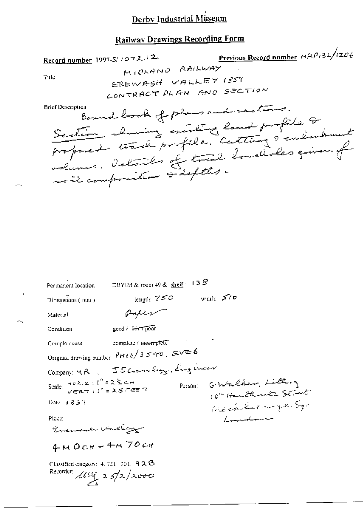Previous Record number MRP132/1206 Record number 1997-5/1072.12 MICLAND RAILWAY Title EREWASH VALLEY 1859 CONTRACT PLAN AND SECTION Bound book of plans and sections. **Brief Description** Section channing existing land profile 2 proposed track profile. Cutting & embouhment volumes. Detoils of trail bondides quen of noil composition sidefits. DBY(M & room 49 &  $\frac{\text{sheff}}{\text{sheff}}$ : 13 $S$ Permanent location length:  $750$  width:  $570$ Dimensions (mm) poper Material good / Grin Tpoor Condition complete / incermitele Completeness Original drawing number  $\frac{\rho_{H+6}}{3}$  540. EVE6 Compan: MR J5 Crambigg, Engineer Scale:  $H \circ \lambda(\mathbf{Z} : \int_0^h \mathbf{1} \mathbf{Z} \leq \mathbf{H}$ <br> $V \in \mathbf{RT} : \int_0^h \mathbf{1} \mathbf{Z} \leq \mathbf{H} \mathbf{E}$ GWalker, Lilloy Person: 10" Hanthack Street Mechleringh Sy Date: 18.57 Place: Lancelonne Guemaka Valliga  $4MOCH - 4M70CH$ Classified category: 4, 721-301, 92B Recorder:  $\mu u$ ,  $\frac{1}{2}$   $\frac{1}{2}$   $\frac{1}{2}$   $\frac{1}{2}$   $\frac{1}{2}$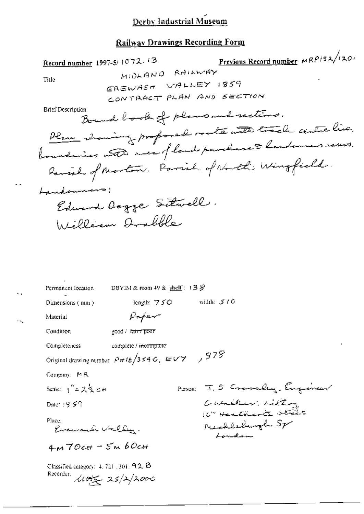## **Railway Drawings Recording Form**

| Record number 1997-5/1072.13    |                                                                           | Previous Record number MRP132/1201                      |
|---------------------------------|---------------------------------------------------------------------------|---------------------------------------------------------|
|                                 | MIDLAND RAILWAY                                                           |                                                         |
| Title                           | EREWASH VALLEY 1859                                                       |                                                         |
|                                 |                                                                           | CONTRACT PLAN AND SECTION                               |
| Brief Description               |                                                                           | Bound book of plans and rections.                       |
|                                 |                                                                           | Plan showing proposed roate with track centre live.     |
|                                 |                                                                           | boundaries and meet fland purchase to landowners rases. |
|                                 |                                                                           | Ranish of Morton. Parish of North Wingfield.            |
| Landonnans!                     |                                                                           |                                                         |
|                                 | Edward Degge Sitwell.                                                     |                                                         |
|                                 | William Arabble                                                           |                                                         |
|                                 |                                                                           |                                                         |
|                                 |                                                                           |                                                         |
|                                 |                                                                           |                                                         |
|                                 |                                                                           |                                                         |
| Permanent lecation              | DBYIM & room $+9$ & shelf: $+3$ $5$                                       |                                                         |
| Dimensions (nun)                | length: $750$                                                             | width: $5/6$                                            |
| Material                        | Paper                                                                     |                                                         |
| Condition                       | good / fair 7 poor                                                        |                                                         |
| Completeness                    | complete / incomplete                                                     |                                                         |
|                                 | Original drawing number $\sqrt{P + 16/3}$ s 4.0, EVY $\rightarrow$ $97\%$ |                                                         |
| Company: MR                     |                                                                           |                                                         |
| Scale: $1'' = 2\frac{1}{2}$ c H |                                                                           | Parson J. S Crassley, Engineer                          |
| Date: $19.5\%$                  |                                                                           | Guailler, Litter                                        |
| Place:<br>Kreward Villey.       |                                                                           | 10th Herethinson strains<br>Neechlechungh Sp<br>Loudon  |
| $4M70c$ tt – 5m 60cH            |                                                                           |                                                         |
|                                 |                                                                           |                                                         |
|                                 | Classified category: $4, 721, 301, 92, 8$                                 |                                                         |

Recorder  $\mu$  $\in$  25/2/2000

 $\overline{a}$ .

k.

 $\ddot{\phantom{a}}$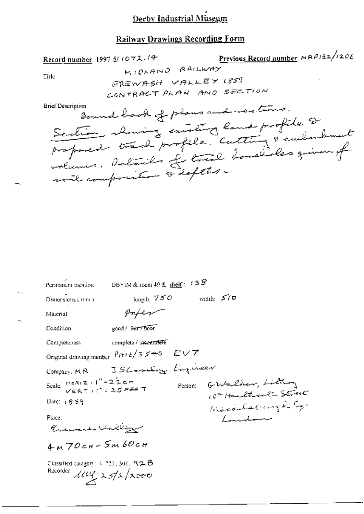#### **Railway Drawings Recording Form**

Previous Record number MRP132/1206 Record number 1997-5/1072.14 MIOLAND RAILWAY Title EREWASH VALLEY 1859 CONTRACT PLAN AND SECTION **Brief Description** Bound book of plans and rections. Section showing existing land profile & proposed track profile. Cutting & embarbanet volumes. Details of true bondiales given of will composition & defter. DBYIM & room 49 &  $\frac{\text{shelf}}{\text{shelf}}$ : 13 $S$ Permanent location length,  $750$  width:  $570$ Dimensions (mm) Paper Material good / fair7 poor Condition complete / incerritete Completeness Original drawing number  $\left| \rho_{H+6} \right/ 3 \leq \mp \sigma$  ,  $\mathbb{E} \cup \mathbb{Z}$ Company: MR JS CrossEuge, Engineer Scale:  $H \in \mathcal{R}$ (2 :  $l'' = 2 \frac{1}{2}$  cm<br> $V \in \mathcal{R}$ T :  $l'' = 25$  FEE T Person Grahalber, Lilling 10ª Handlewitz Street Merchange Sq. Date: 1859 Laudon Place: Evenent Valley  $4m70cm-5m60cm$ Classified category:  $4, 721, 501, 92, 6$ 

Recorder: *Lllie* 25/2/2000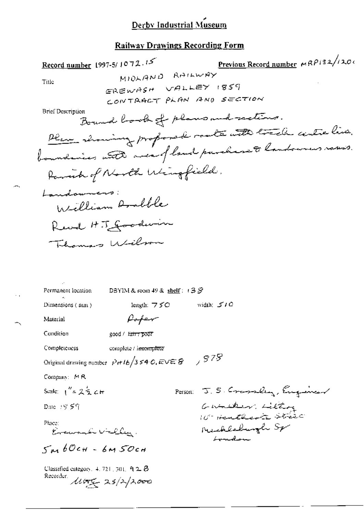Previous Record number MRP132/1200 Record number 1997-5/1072.15 MIDLAND RAILWAY Title EREWASH VALLEY 1859 CONTRACT PLAN AND SECTION **Brief Description** Bound book of plans and rections. Plus showing proposed roate with track autre live. boundaries with mea fland purchase to landowers rases. Parish of North Wingfield. Landowners: William Andble Revel H.J. Goodwin Thomas Wilson  $D$ BYIM & room 49 &  $\frac{\text{shell}}{2}$  (  $3$   $S$ Permanent location length:  $750$ width:  $5/0$ Dimensions (nun) Poper Material Condition good / fair 7 poor Completeness complete / incomplete Original drawing number  $\left| \rho_{H} / b \right| / 3$  54 O, EVE  $\otimes$   $\rightarrow$   $\otimes$  75 Company: MR Person: J. S. Crassley, Engineer Scale:  $1'' = 2Z + 4H$ Gunder Litting Date: 18 59 Place: Mechledwigh Sp Evenanti Villey London  $5460$ ch - 6M $50$ ch Classified category,  $4.721$ ,  $301$ ,  $92.8$ Recorder  $\mu \rightarrow 25/2/2000$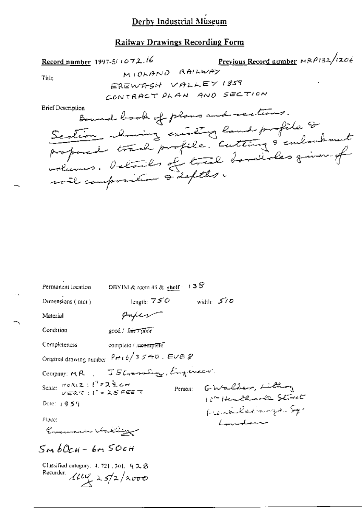### **Railway Drawings Recording Form**

| Permanent location                                                                | DBYIM & room 49 & shelf $\leq$ 1.3 $S$                                  |              |                                                  |
|-----------------------------------------------------------------------------------|-------------------------------------------------------------------------|--------------|--------------------------------------------------|
| Dimensions (mm)                                                                   | length: $750$                                                           | width: $570$ |                                                  |
| Material                                                                          | omper                                                                   |              |                                                  |
| Condition                                                                         | good / Fair 7 poor                                                      |              |                                                  |
| Completeness                                                                      | complete / incomplete                                                   |              |                                                  |
|                                                                                   | Original drawing number $\int P \cdot t \, t \, t / 3 \leq t$ . Eve $g$ |              |                                                  |
|                                                                                   | Company MR JSG on Lug King inser                                        |              |                                                  |
| Scale: $H \circ R(Z : l'' = 2)$ for $C = 2$<br>$V \in R \cap l' = 2$ of $F \in T$ |                                                                         |              | Person Ghalber, Litting<br>10th Hendthood Street |
| Date: $1857$                                                                      |                                                                         |              | Weichelstangen Sq.                               |
| Place:                                                                            |                                                                         |              | Landone                                          |
| Comment Vallig                                                                    |                                                                         |              |                                                  |
| $5m\,b0c$ н - бт $50c$ н                                                          |                                                                         |              |                                                  |
| Classified category: $4, 721, 301, 92, 8$<br>Recurder.                            | $10\frac{u}{x}$ 25/2/2000                                               |              |                                                  |

÷,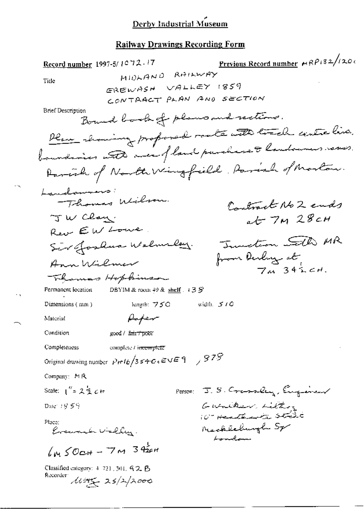Previous Record number MRP132/1200 Record number 1997-5/1072.17 MIDLAND RAILWAY Title EREWASH VALLEY 1859 CONTRACT PLAN AND SECTION **Brief Description** Bound book of plans and rections. Plan showing proformal roate with track centre live. boundaries with men fland purchase & landowners rases. Parcial of North Wingfield, Parish of Morton. Landaumers. Thomas Wilson. Contract No 2 ends JW Clay.  $at$  7 $m$  28 $c$ H Rev EW Lowe Tunction with MR Sir Joshua Walnulay. from Derling at Ann Wilmer  $7\mu$   $342c$ H. Thomas Hopkinson DBYIM & room 49 & shelf  $.13\%$ Permanent location Dimensions (mm) length: 750 width,  $5/0$ Asper Material Condition good / fair / poor Completeness complete / incomplete Original drawing number  $\left| \rho_H / t \right| / 3 \leq \theta \leq C$  (EVE 9 )  $\left| \frac{978}{5} \right|$ Company: MR Scale:  $1^{11}$  = 2 2 c tr Person: J. S. Crassley, Eugeneer Guncher Litting Date: 18,59  $10^{\circ}$  Heath and state Place: Neckleburgh Sp Evenander Vielley. London  $km50$ c+ -  $7m34$ Classified category: 4-721, 301, G 2, B Recorder livery 25/2/2000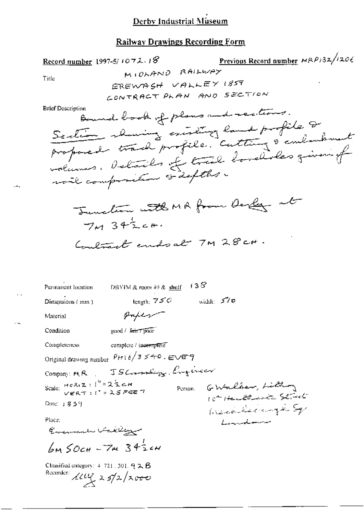#### **Railway Drawings Recording Form**

Previous Record number  $MRP/32/1206$ Record number 1997-5/1072.18 MIOLAND RAILWAY Title EREWASH VALLEY 1859 CONTRACT PLAN AND SECTION **Brief Description** Bound book of plans and rections. Section showing existing land profile & proposed track profile. Cutting & embarbanet volumes. Details of trail bordides given of will composition is defter. Tuncture with MA from Derly at  $7.4342c+1$ Coulmet endoat 7M 28 ct. DBYIM & room  $49$  &  $\frac{\text{shell}}{3}$  = 1.3  $\frac{5}{2}$ Permanent lixation length; 750 width:  $570$ Dimensions (mm) paper Material good / fair 7 poor Condition Completeness complete / inc<del>emple</del>te Original drawing number  $PH + b/3 \le 4\pi$ 0. EVE9 Company: MR . JSCrambig Engineer Scale:  $H \circ R(Z : \frac{1}{2})^k = 2 \frac{1}{2} \subset H$ <br> $V \in R(T : \mathbb{C})^k = 2.5$  FEE 7 Person G-Walker, Little 10th Healthants Street Date: 1859 Mechleburgh Sp Place: Landon Encumenta Valley  $6M50c$ H  $-7M342c$ H Classified category:  $+731$ , 301,  $92.6$ Recorder:  $\mu$ ug 25/2/2000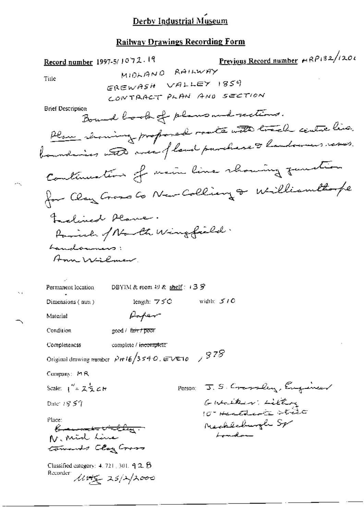Previous Record number et RP132/1201 Record number 1997-5/1072.19 MIDLAND RAILWAY Title EREWASH VALLEY 1859 CONTRACT PLAN AND SECTION **Brief Description** Bound book of plans and rections. Plan showing proposed roate with track centre live. boundaries with area of land parchase & landowers raves. Continuation of main line rhowing function for Clay Gross Co New Colliany & Williamthope Frederical Plane. Parish of Narth Wingfield. Landonness: Am Wilmar Permanent location DBYIM & room 49 & shelf :  $\angle 3$   $\angle$ length: 75C width:  $510$ Dimensions (nun) Paper Material good / fair / poor Condition complete / incomplete Completeness Original drawing number  $\left| \rho_H / 6/3 \right|$  s 4.0, EVET  $\sigma$  /  $\left| 9.7 \right|$ Company: MR Person J. S. Crassley, Engineer Scale:  $1'' = 2\frac{1}{2}cH$ Guaiker: Litting Date:  $18.57$  $10^{\circ}$  Hertholtz strate Place: Mechleburgh Sp "Comment victing."<br>N. Mid Line London tomonds Clay Cross Classified category:  $4.721$ , 301,  $92.8$ Recorder living 25/2/2000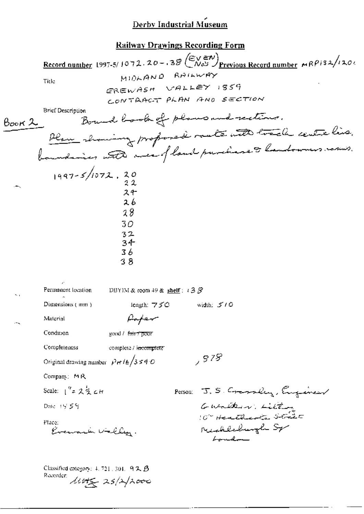Record number 1997-5/1072.20 - .38 (EVEN)<br>Previous Record number MRP132/1200 MIDLAND RAILWAY Title EREWASH VALLEY 1859 CONTRACT PLAN AND SECTION **Brief Description** Bound book of plans and rections.  $\beta$ ook 2 Plan showing proposed rate with track centre live. boundaries with area fland purchase to handowners rasus.  $1997 - 5/1072.20$  $24$ 2 h  $28$  $30<sup>o</sup>$  $32$  $34 -$ 36 38 DBYIM & room  $49$  & shelf :  $\sqrt{3}$   $\mathcal{S}$ Permanent location Dimensions (mm) length: 750 width: 510 Paper Material Condition good / fair 7 poor Completeness complete / incomplete , 878 Original drawing number  $p_{\pi}/k/3 \le 4$  O Company: MR Scale:  $1^{9}$  =  $2^{11}$  cH Person J.S. Crassley, Engineer Guailler Litt Date: 19:55f 10° Heatharts Strict Place: Evenant Valley. Michleburgh Sp London Classified category:  $4.721$ , 301,  $92B$ Recorder little 25/2/2000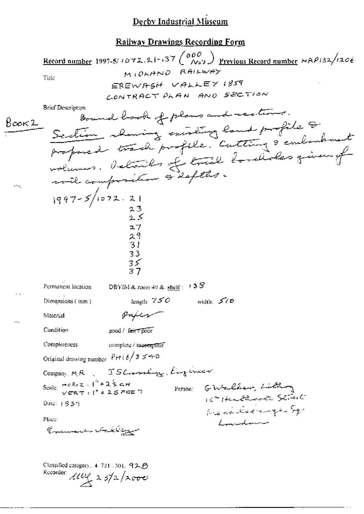Record number 1997-5/1072.21-137  $\begin{pmatrix} \rho \rho \rho \\ \gamma a s \end{pmatrix}$  Previous Record number  $\mu$ RP132/1206 MIOLAND RAILWAY Title EREWASH VALLEY 1859 CONTRACT PLAN AND SECTION **Brief Description** Bound book of plans and restrons.  $8$ ook 2 Section showing existing land profile & proposed track profile. Cutting & embanhouset  $1997 - 5/1072.21$ 23  $27$  $\frac{29}{31}$ 33  $35$ DBYIM & room 49 & shelf:  $13S$ Permanent location length:  $750$ width:  $570$ Dimensions (mm) paper Material Condition good / fair 7 poor **Completeness** complete / incomplete Original drawing number  $P$  H i  $\ell/3 \leq \tau$  O Company MR, JSCramburg, Engineer Scale:  $\frac{max_1 x + 1}{x} = 2\frac{1}{2}$  c H Person: GWalber, Littley Date: 1854 We carled anger Sq. Place: Laundman Encuanto Latilog Classified category, 4, 721, 301, 92.乃 Recorder:  $\mu v_1$  25/2/2000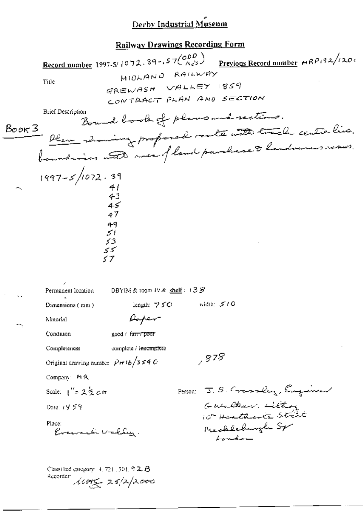#### Railway Drawings Recording Form

Record number 1997-5/1072.39-.57 $\binom{ODD}{Nc^{2s}}$ Previous Record number  $MRP132/1206$ MIOLAND RAILWAY Title GREWASH VALLEY 1859 CONTRACT PLAN AND SECTION **Brief Description** Bound book of plans and rections. - Plan showing profoned route with track centre line.<br>boundaires with mea-fland parchase à handourus.comes. Boon 3  $1997 - 5/1072.39$  $41$ <br> $43$ <br> $45$ 47 ۹۹<br>اک 53 کی 37 DBYIM & room 49 & shelf:  $133$ Permanent location length:  $75C$ width:  $5/6$ Dimensions (mm) Paper Material good / fan / poor Condition complete / incomplete Completeness  $,878$ Original drawing number  $\rho$ rt 16/3540 Company: MR Person: J. S. Cransley, Eugeneer Scale:  $\int_{0}^{R} z \hat{z} \hat{z} d\tau$ Gualder Litter Date: 1959 10th Heathants Street Place: Mechleburgh Sp Evenanti Vallen.  $L$ ondo Classified category:  $4.721.301.92.8$ Recorder 14045 25/2/2000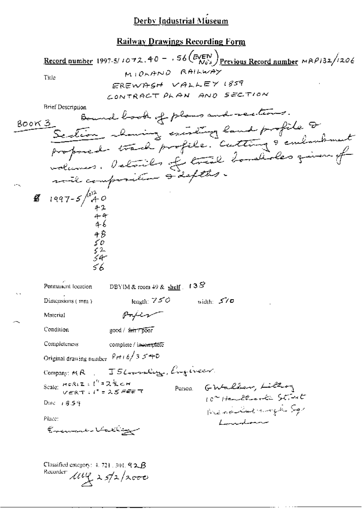<u>Record number</u> 1997-5/1072.40 - 56 (EVEN) Previous Record number MRP132/1206 MIDRAND RAILWAY Tirle EREWASH VALLEY 1859 CONTRACT PLAN AND SECTION **Brief Description** Bound book of plans and rections. Section channing existing land profile 2 800K 3\_ proposed track profile. Cutting & emborshment  $\frac{2}{3}$  1997-5  $\frac{10^{7}}{40}$ DBYIM & room 49 & shelf  $\therefore$  13  $\mathcal{S}$ Permanent location length:  $750$ width:  $570$ Dimensions  $(mn)$ pries Material Condition good / fair / poor Completeness complete / in<del>veniplete</del> Original drawing number  $Prt + \frac{c}{3} \leq +D$ Company: MR . J56++++Ccg, Evgineer. Scale:  $H \circ R(Z : I' = 2)$   $Z \in H$ <br> $V \in RT : I'' = 25$  FEE T Person GWalker, Littory 10" Healthout Strict Date:  $18.59$ Mechilled more Sq. Place: Lancelonne Evening Valley Classified category:  $4, 721, 301, 92, 6$ Recorder  $\mu v$   $\lambda$   $\frac{1}{2}$   $\lambda$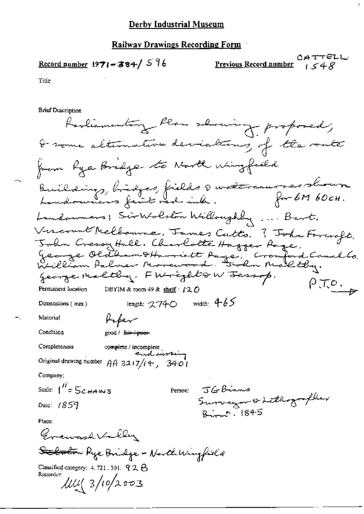#### Railway Drawings Recording Form

### Record number  $1971 - 384 / 576$

 $CATTELL$ Previous Record number 1548

Title

**Brief Description** 

Ravliamentary Plan showing proposed, I some alternative deviations of the route from hye Bredge to North Wingfield Building, bidges, fields 8 watercaurses shown Landowners; Sirkolston Willoughby ... Bart. Vircount Melbourne, James Cutto. ? John Foreroft.<br>John Cressy Hall. Charlotte Hagger Roge.<br>Jeange Oldbam D'Harriett Aage, Cromford Caual Co.<br>William Palmer Morewood. Folm Maltby. george malthy. FW rights W Jessop.  $\rho$ *T* $\rho$ . DBYIM & room 49 & shelf: /20 Permanent location length:  $2740$  width:  $465$ Dimensions (mm) Material Kaper Condition good / fair / poor-Completeness complete/incomplete Original drawing number  $AA$  3217/14  $\sim$  3401 Company: Scale:  $\int_{0}^{H} = \sum_{c,H} A_{i} \omega s$ Person:  $\tau$ GB-inne Surveyor & Lithographer Date: 1859  $B_{\text{w}}$   $\sim$  1845 Place: Greward Villey <del>Salonto</del>n Aye Bridge - Noveli Wingfield Classified category:  $4.721.301.$   $92.6$ Recorder:  $10^{10}$  3/10/2003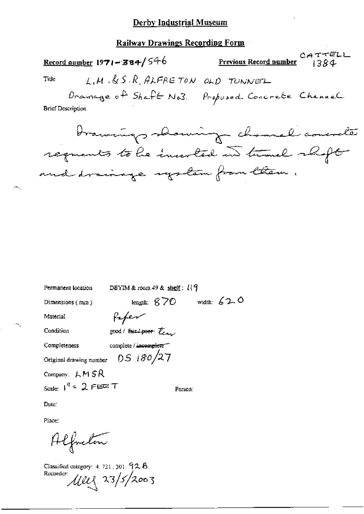#### **Railway Drawings Recording Form**

| Record number $1971 - 384 / 546$ |                                  | Previous Record number                                                    | CATTELL<br>1384 |
|----------------------------------|----------------------------------|---------------------------------------------------------------------------|-----------------|
| Tide                             | L.H.S.S.R.ALFRETON               | OLD TONNEL                                                                |                 |
| <b>Brief Description</b>         | $D$ ramage of $Shafb$ No.3.      | Proposed Concrete Channel                                                 |                 |
|                                  |                                  | brainings showing channel concrete                                        |                 |
|                                  |                                  | requents to be inverted in turnel shopt<br>and drainage upstem from them. |                 |
|                                  |                                  |                                                                           |                 |
|                                  |                                  |                                                                           |                 |
|                                  |                                  |                                                                           |                 |
|                                  |                                  |                                                                           |                 |
| Permanent location               | DBYIM & room $49$ & shelf: $119$ |                                                                           |                 |
| Dimensions (mm)                  | length: $670$ width: $620$       |                                                                           |                 |
| Material                         | Kaper                            |                                                                           |                 |
| Condition                        | good/fair/poor team              |                                                                           |                 |

complete / incomplete Completeness Original drawing number  $DS$  180/27

Company: LMSR

Scale:  $1^{\frac{N}{4}}$  = 2 FIER T

Person:

Date:

Place:

Alfreton

Classified category:  $4.721$ ,  $301.72$   $8$ Recorder 1100 23/5/2003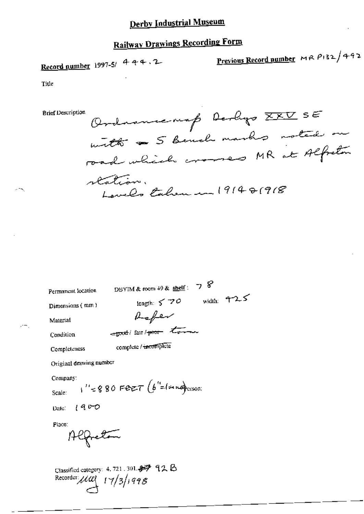## **Railway Drawings Recording Form**

Record number 1997-5/  $444.2$ 

Previous Record number MR  $P132/492$ 

Title

Ordnancemap Derlyo XXV SE **Brief Description** with a 5 Bende marks noted on rad which crosses MR at Alfreton reation. evel Eaben en 1914 81918

Permanent location

DBYIM & room 49 & shelf:  $78$ length:  $570$  width:  $725$ 

Dimensions (mm)

Rafer  $-$ good/ fair/ poor town

Condition

Completeness

Material

УH.

complete / incomplete

Original drawing number

Company:

 $v_1''$  = 880 Fert (b<sup>"</sup> = (mustocroni Scale:

 $1900$ Date:

Place:

Alfreton

Classified category: 4, 721, 301. 4字 92 B Recorder  $\mu$ ul  $17/3/1998$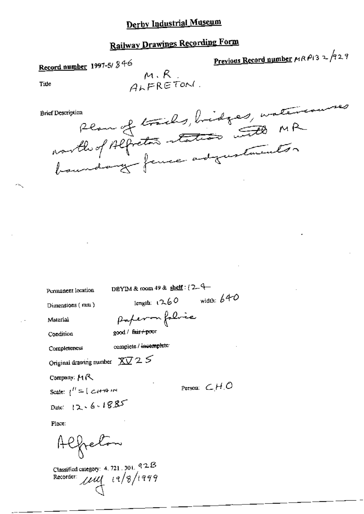# **Railway Drawings Recording Form**

 $M \cdot R$ ALFRETONI

Record number 1997-5/846

Previous Record number  $\mu$ RP13 2 229

Title

Reau of trieds, bridges, watercourses **Brief Description** 

Permanent location

DBYIM & room 49 & shelf :  $(2-4$ length:  $1260$  width: 640

Dimensions (mm)

Material

Condition

paperon folice good / fair+poor

Completeness

complete / incomplete

Original drawing number  $\chi_{\sqrt{2}} \gtrsim 5$ 

Company: MR

Scale:  $\int_1^H = \int \mathcal{L} H H^2 H$ 

Date: 12.6.1885

Person:  $\subset H$  O

Place:

Alfreton

Classified category: 4, 721, 301, 92B Recorder  $\mu\mu$   $(2/8/1999)$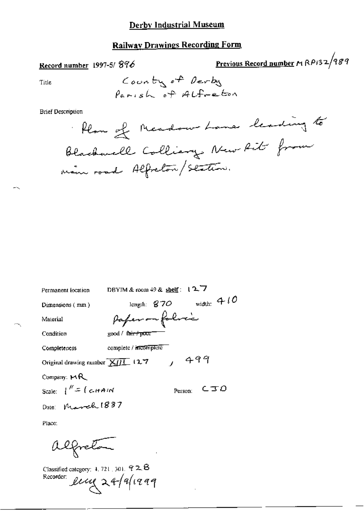### **Railway Drawings Recording Form**

#### Record number 1997-5/896

Previous Record number MRP132/989

Title

**Brief Description** 

DBYIM & room  $49$  & shelf:  $12.7$ Permanent location length:  $870$  width:  $410$ Dimensions (mm) Paper on folice Material Condition good / fair+poor complete / incomplete Completeness  $499$ Original drawing number  $\overline{\text{X/H}}$  (2.7 Company:  $MR$ Scale:  $\int^{\prime\prime} = \int c A H dV$  $CTO$ Person: Date: March 1887

Place:

alfreton

Classified category: 4, 721, 301,  $92.8$ Recorder: leng 24/9/1999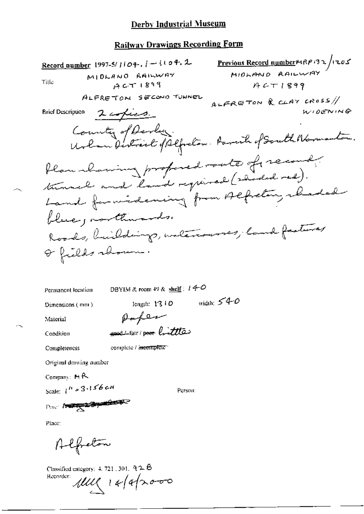#### **Railway Drawings Recording Form**

Previous Record number MRP132/1205 Record number 1997-5/ $1104.1 - 1104.2$ MIDLAND RAILWAY MIDLAND RAILWAY Title  $ACT1899$  $HCT1899$ ALFRETON SECOND TUNNEL ALFRETON & CLAY CROSS // WIDENING **Brief Description** 2 copies. County of Devenis Urban Destrict of Alfredom. Parent of South Normanton. Plan maning propered roote of record. turned and land regioned (shoded red). Land formidening from Alfreting chaded blue, northwards. Roads, buildings, untercourses, land features Or fields channe.

Permanent location

DBYIM & room 49 &  $\frac{\text{shell}}{2}$ :  $140$ 

Dimensions (mm)

width:  $540$ length: 13 10

Material

Paper good Light / poor bittle

Condition

Completeness

complete / incomplete

Original drawing number

Company:  $M \rightarrow \infty$ 

Scale:  $1^{11} \times 3.156$  cm

Person:

Dave Burge 1971 Band

Place:

Alfreton

Classified category:  $4.721$ ,  $301$ ,  $92.6$ Recorder:  $141(1412000)$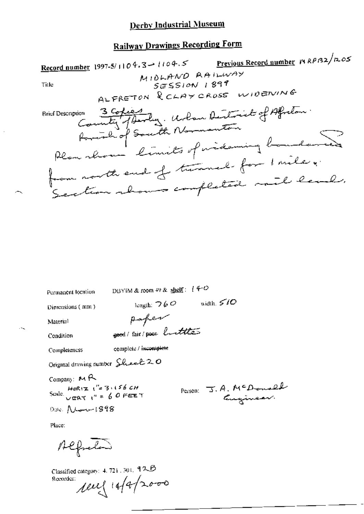## **Railway Drawings Recording Form**

Previous Record number MRPB2/1205 Record number 1997-5/1104.3 - 1104.5 MIDLAND RAILWAY  $SESION$  1899 Title ALFRETON RCLAYCROSS WIDENING SI Description 3 Copies<br>County of South Normanton<br>Plan show bimits of mideming boundaries **Brief Description** from north end of turnel for I mile. Section abours completed mil lead.

Permanent location

DBYIM & room 49 & shelf:  $(400$ 

paper

good/fair/poor buttles

Dimensions (nm)

length:  $\bigtriangledown$  6  $\bigcirc$  width,  $\bigtriangledown$  10

Material

Condition

complete / incomplete Completeness

Original drawing number Sheel 20

Company: MR Scale HORIZ  $\frac{u}{v} = 3.156$  CH<br>Scale  $\frac{u}{v} = 60$  FEET

Person J. A. McDonald

Place:

Alfreden

Dale: New 1898

Classified category: 4, 721, 301, 92B  $10 - 1442000$ Recorder: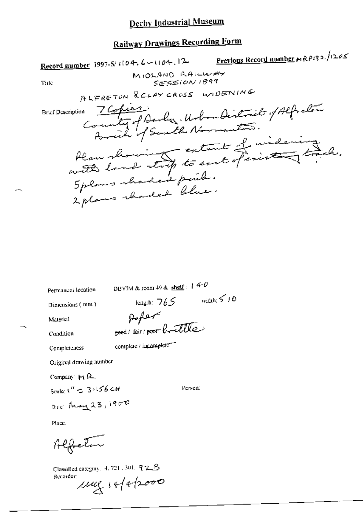## **Railway Drawings Recording Form**

Previous Record number MRP132/1205 Record number 1997-5/1104, 6-1104, 12 MIOLAND AAILWAY SESSION 1899 Title ALFRETON RELAY CROSS WIDENING m 7 Copies<br>County of Devly, Urbandistrict of Alfredom **Brief Description** Han showing extant of videning<br>with land strip to east of inisting track. 2 plans shouled blue.

Permanent location

DBYIM & room 49 & shelf:  $140$ 

Dimensions (mm)

 $\text{length:} \hspace{0.1cm} \forall \hspace{0.5mm} f \in \mathcal{S} \hspace{1cm} \text{width:} \hspace{0.1cm} \forall \hspace{0.5mm} f \in \mathcal{S}$ Paper

good/fair/poor huitle

Material

Condition

Completeness

complete / incomplete

Original drawing number

Company  $H_1$   $R_2$ 

Scale:  $x'' = 3.156$  cH

Person:

Dale: Than 23, 1900

Place.

Alfreton

Classified category,  $4.721.301.92.6$ Recorder:  $\mu$ ug isfabooo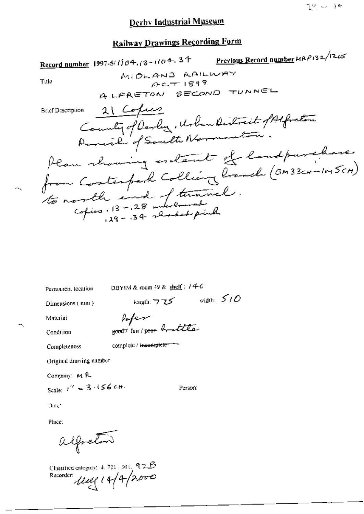## **Railway Drawings Recording Form**

erevious Record number 4AP132/12.05 Record number 1997-5/1104.13-1104.34 MIDLAND AAILWAY Title  $ACT1899$ A LERETON SECOND TUNNEL 21 Copies **Brief Description** County of Devlin , Urban District of Alfreton Parish of South Normantin. Plan showing ordered of landpurchase from Contemporal Colling Cranch (OM33CH-1045CH) to north end of tunnel.

Permanent location

DBYIM & room 49 & shelf:  $/4$ - $6$ 

Dimensions (mm)

length:  $775$  width:  $510$ 

Person:

Material

Arfer south fair / poor brattle

Condition

Completeness

complete / incomplete

Original drawing number

Company: MR

Scale:  $t'' = 3.156$  cm.

Date

Place:

alfreton

Classified category: 4, 721, 301, 92B Recorder use 14/4/2000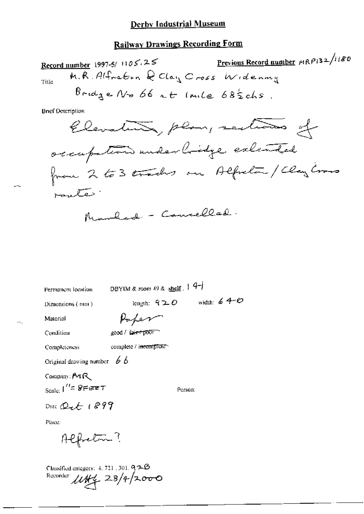#### **Railway Drawings Recording Form**

Previous Record number  $\mu$ RP132/1180 Record number 1997-5/  $1105.25$ M.R. Alfreton Q Clay Cross Widening Title  $Brid$  a  $N$   $\circ$  66 at I mile 682 chs.

**Brief Description** 



Permanent location

DBYIM & room 49 & shelf  $\left| 4-\right|$ 

Dimensions (mm)

length:  $920$  width:  $640$ 

Material

Paper good / fair+pxor

Condition

complete / incomplete

Original drawing number  $\emptyset$  b

Company:  $M \mathcal{R}$ Scale:  $1'' = 8$ FEET

Completeness

Person:

Date  $Q_7$  for  $1899$ 

Place:

Alfreton?

Classified category:  $4, 721, 301, 92.6$ Recorder  $104/28/4/2000$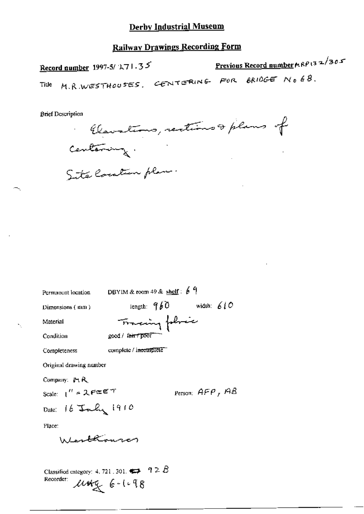#### **Railway Drawings Recording Form**

Previous Record number  $\kappa \kappa \rho$  (32/305) Record number 1997-5/ $271.35$ M.R.WESTHOUSES. CENTERING FOR BRIDGE NO 68. Title

**Brief Description** 

Claustins, restions & plans of

Centering.<br>Site location plan.

DBYIM & room 49 & shelf:  $69$ Permanent location length:  $960$  width:  $610$ Dimensions (mm) Tomaring followice Material Condition good / fair poor complete / incomplete Completeness Original drawing number Company: Pt R Person:  $AFP$ ,  $AB$ Scale:  $1'' = 2.$ PEET Date: 16 July 1910 Place: Lenthounon Classified category: 4, 721, 301,  $\leftrightarrow$  9 2 B Recorder:  $M + 6 - 1 - 98$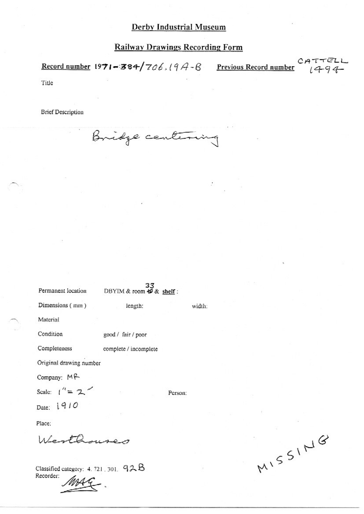#### **Railway Drawings Recording Form**

ITTELI<br>1494 Record number 1971-384/706.19A-B Previous Record number Title

**Brief Description** 

Bridge centerin

33<br>DBYIM & room  $\frac{49}{5}$ & shelf: Permanent location Dimensions (mm) length: width: Material Condition good / fair / poor Completeness complete / incomplete Original drawing number Company: MR Scale:  $1'' = 2$ Person: Date: 1910 Place: Werthouses

Classified category: 4.721.301. 92B Recorder:

MISSING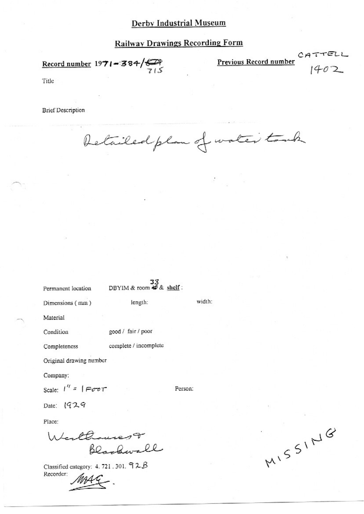### **Railway Drawings Recording Form**

Record number 1971-384/ $\bigoplus_{7 \leq 5}$ 

**Previous Record number** 

 $1402$ 

 $CATTELL$ 

Title

**Brief Description** 

Detailed plan of water touch

| Permanent location      | DBYIM & room $\overline{47}$ & shelf: |         |        |
|-------------------------|---------------------------------------|---------|--------|
| Dimensions (mm)         | length:                               |         | width: |
| Material                |                                       |         |        |
| Condition               | good / fair / poor                    |         |        |
| Completeness            | complete / incomplete                 |         |        |
| Original drawing number |                                       |         |        |
| Company:                |                                       |         |        |
| Scale: $1'' =  $ Foot   |                                       | Person: |        |
| Date: 1929              |                                       |         |        |
| Place:                  |                                       |         |        |
| Werthousest             |                                       |         |        |
|                         |                                       |         |        |

Classified category: 4.721.301. 92B Recorder:

MISSING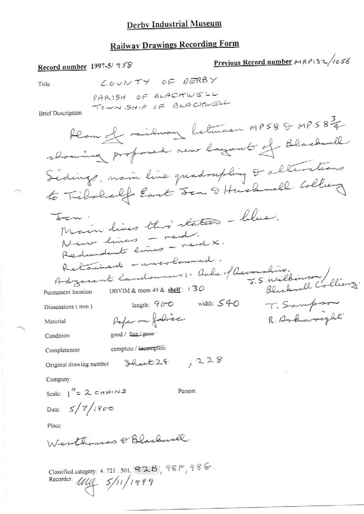### **Railway Drawings Recording Form**

Previous Record number 198932/1056 Record number 1997-5/ 958 LOUNTY OF DERBY Title PARISH OF BLACKWELL TOWN SHIP OF BLACKWELL **Brief Description** Plan of railway between MP588 MP58 3 showing professed new layant of Blackwell Sedings, nam line quadrupling & alterations to Tibolielf East Sen & Husbandl Colliery Main lines this states - blue. Jen. New lines - red. Redundent lines - real X. Retained - uncoloused. Retained Indones :- Oule of Devansline.<br>Adzarent landounes: Oule of Devansline.<br>5.5. Wilhimson Colliery. DBYIM & room 49 & shelf: 130 Permanent location length:  $90-0$  width:  $54-0$ T. Sampson Dimensions (mm) Paper on folice R. Ankwreght Material good / fair / poor-Condition complete / incomplete Completeness  $,228$ Original drawing number Sheet 24 Company: Scale:  $1'' = 2 c H A^1 N S$ Person: Date:  $5/7/1900$ Place: Westhouses @ Blackwell Classified category: 4.721.301. 928, 98F, 98G.<br>Recorder:  $\text{MQ} = \frac{5}{11}/\frac{989}{9}$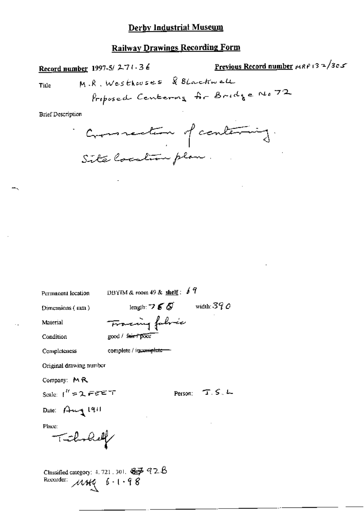#### **Railway Drawings Recording Form**

Previous Record number  $\mu$ RP 13 = 3c c Record number 1997-5/271.36 M.R. Westhouses & BLackwell Title Proposed Centering Ar Bridge No 72

**Brief Description** 

Commentant of contenting. Site Cocation plan

Permanent location

DBYIM & room 49 & shelf:  $67$ 

Dimensions (mm)

length:  $765$  width:  $390$ Fracing fabric

Condition

Material

Completeness

complete / incomplete-

good / farr poor

Original drawing number

Company: MR

Scale:  $1''$  = 2 FEET

Person: T.S.L.

Dale:  $A + 191$ 

Place:

Tichnhell

Classified category: 4.721, 301,  $\frac{27}{32}$  92B<br>Recorder:  $\mathcal{M}$ HQ  $6 - 1 - 98$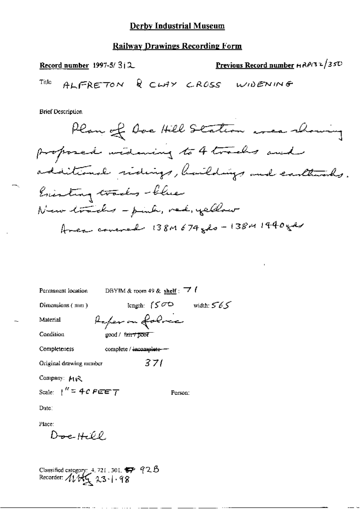#### **Railway Drawings Recording Form**

Previous Record number HAPI32/350 Record number  $1997-5/3$   $\beta$ . ALFRETON & CLAY CROSS WIDENING Title

**Brief Description** 

Plan of Doe Hill Station were showing proposed videning to 4 tracks and additional sidings, buildings and carthinals. Enisting tracks-blue New tracks - pink, red, yellow Area covered 138M 674 gols - 138M 1440 gds

DBYIM & room 49 & shelf :  $\overrightarrow{7}$  f Permanent location length:  $(500 \text{ width: } 565)$ Dimensions (mm) Aufer on folme Material Condition good / tair / poor Completeness complete /  $\frac{1}{2}$  incomplete - $371$ Original drawing number Company: MR Scale:  $\int_0^R z^2 + C \epsilon \epsilon \epsilon \tau$ Person:

Date:

Place:

 $D_{\text{del}}H\varphi$ 

Classified category: 4, 721, 301,  $\overline{\bullet}$  92.8<br>Recorder:  $41\overline{\phantom{1}}\phantom{1}\phantom{1}\phantom{1}23\cdot\phantom{1}1.98$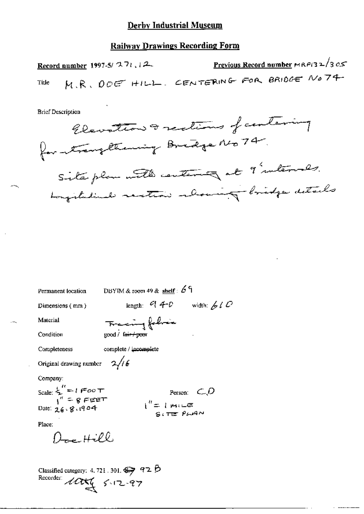#### **Railway Drawings Recording Form**

Previous Record number  $MRP$ (32/305) Record number 1997-5/ $27:12$ M.R. DOE HILL. CENTERING FOR BRIDGE NO 74 Title

**Brief Description** 



Permanent location

DBYIM & room 49 & shelf:  $69$ 

Dimensions (mm)

length:  $94-0$  width:  $610$ 

Material

Tracing follows good / faar/poor

Condition

complete / incomplete Completeness

Original drawing number  $2/16$ 

Company:

Scale:  $\sum_{i=1}^{n} f = 1$  (Foo T) Date:  $26.8.1904$ 

$$
\begin{array}{rcl}\n\text{Person:} & \text{C}_{\text{max}} \\
\text{P} & \text{P} \\
\text{P} & \text{P} \\
\text{P} & \text{P} \\
\text{P} & \text{P} \\
\text{P} & \text{P} \\
\text{P} & \text{P} \\
\text{P} & \text{P} \\
\text{P} & \text{P} \\
\text{P} & \text{P} \\
\text{P} & \text{P} \\
\text{P} & \text{P} \\
\text{P} & \text{P} \\
\text{P} & \text{P} \\
\text{P} & \text{P} \\
\text{P} & \text{P} \\
\text{P} & \text{P} \\
\text{P} & \text{P} \\
\text{P} & \text{P} \\
\text{P} & \text{P} \\
\text{P} & \text{P} \\
\text{P} & \text{P} \\
\text{P} & \text{P} \\
\text{P} & \text{P} \\
\text{P} & \text{P} \\
\text{P} & \text{P} \\
\text{P} & \text{P} \\
\text{P} & \text{P} \\
\text{P} & \text{P} \\
\text{P} & \text{P} \\
\text{P} & \text{P} \\
\text{P} & \text{P} \\
\text{P} & \text{P} \\
\text{P} & \text{P} \\
\text{P} & \text{P} \\
\text{P} & \text{P} \\
\text{P} & \text{P} \\
\text{P} & \text{P} \\
\text{P} & \text{P} \\
\text{P} & \text{P} \\
\text{P} & \text{P} \\
\text{P} & \text{P} \\
\text{P} & \text{P} \\
\text{P} & \text{P} \\
\text{P} & \text{P} \\
\text{P} & \text{P} \\
\text{P} & \text{P} \\
\text{P} & \text{P} \\
\text{P} & \text{P} \\
\text{P} & \text{P} \\
\text{P} & \text{P} \\
\text{P} & \text{P} \\
\text{P} & \text{P} \\
\text{P} & \text{P} \\
\text{P} & \text{P} \\
\text{P} & \text{P} \\
\text{P} & \text{P} \\
\text{P} & \text{P} \\
\text{P} & \text{P} \\
\text{P} & \text{P} \\
\text{P} & \text{P} \\
\text{P} & \text{P} \\
\
$$

Place:

 $0 - Hill.$ 

Classified category: 4.721.301.  $\rightarrow$  92 B<br>Recorder:  $\angle$ ULL( $\leq$ -12-97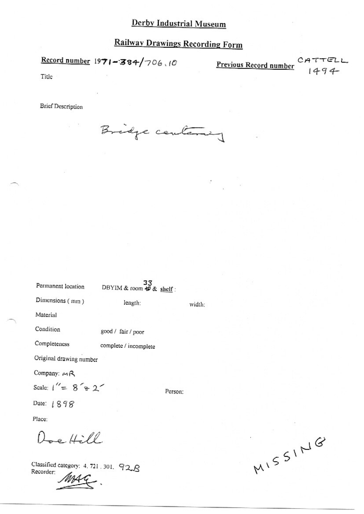## **Railway Drawings Recording Form**

Record number  $1971 - 384/706.10$ 

Previous Record number Cr

47TELL<br>1494

Title

**Brief Description** 

Bridge centering

|                         | 33                      |        |
|-------------------------|-------------------------|--------|
| Permanent location      | DBYIM & room 每 & shelf: |        |
| Dimensions (mm)         | length:                 | width: |
| Material                |                         |        |
| Condition               | good / fair / poor      |        |
| Completeness            | complete / incomplete   |        |
| Original drawing number |                         |        |
| Company: MR             |                         |        |
| Scale: $1'' = 8' + 2'$  | Person:                 |        |
| Date: 1898              |                         |        |
| Place:                  |                         |        |
| $\epsilon$ 4 /          |                         |        |

Classified category: 4, 721, 301. 92.8 Recorder:

MISSING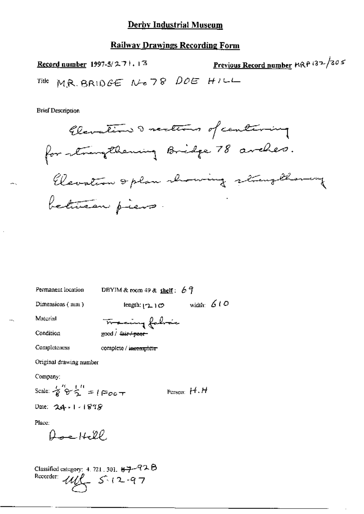#### **Railway Drawings Recording Form**

Previous Record number MRP 132/305 Record number  $1997-5/271.13$ MR. BRIDGE NO78 DOE HILL Title

**Brief Description** 



DBYIM & room 49 & shelf:  $67$ Permanent location

Dimensions (mm)

length:  $(2.10)$  width: 610

Material

Condition Completeness

complete / incomplete

Original drawing number

Company:

Scale: 
$$
\mathcal{E}' \circ \mathcal{E}' = 1 \circ \circ \circ \tau
$$
 Person: H.H

Place:

 $0 - 1420$ 

Classified category: 4. 721, 301,  $87 - 82B$ Recorder:  $442 - 5.12 - 97$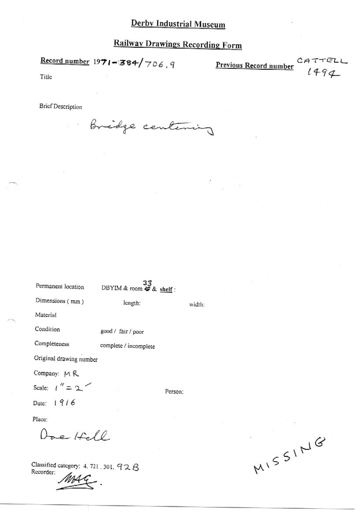## **Railway Drawings Recording Form**

Record number  $1971 - 384 / 706$ , 9 Previous Record number

CATTELL<br> $1494$ 

Title

**Brief Description** 

 $\frac{1}{2}$  = 0

Bridge centering

| Permanent location      | 33<br>DBYIM & room 47 & shelf: |         |        |
|-------------------------|--------------------------------|---------|--------|
| Dimensions (mm)         | length:                        |         | width: |
| Material                |                                |         |        |
| Condition               | good / fair / poor             |         |        |
| Completeness            | complete / incomplete          |         |        |
| Original drawing number |                                |         |        |
| Company: MR             |                                |         |        |
| Scale: $1'' = 2$        |                                | Person: |        |
| Date: 1916              |                                |         |        |
| Place:                  |                                |         |        |
| Doe Hell                |                                |         |        |
|                         |                                |         |        |

Classified category: 4.721.301. 92B Recorder:

MISSING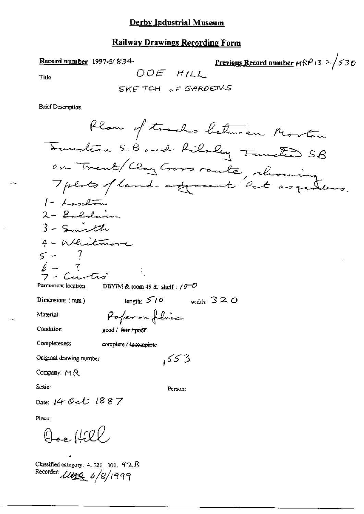#### **Railway Drawings Recording Form**

Record number 1997-5/ $834$ 

<u>Previous Record number</u>  $\mu$ RP i3  $\lambda$  /530 DOE HILL

Title

SKETCH OF GARDENS

**Brief Description** 

Plan of tracks between Morton Tournation S.B and Rilsley Tourter SB on Trent/Clay Cross route, rhowing  $1 - L$ andon 2 - Baldain 3 - Smith 4 - Whitmore  $5 - 7$  $\mathbb{R}$   $-$ DBYIM & room 49 & shelf:  $10^{-10}$ Permanent location length:  $5/0$  $\sim$  width:  $320$ Dimensions  $(mn)$ Paper on folice Material Condition good / fair / poor Completeness complete / incomplete 553 Original drawing number Company:  $M \otimes$ Scale: Person: Date: 14 Oct 1887 Place: Doc Hill

Classified category: 4, 721, 301,  $92B$ Recorder 11494 6/8/1999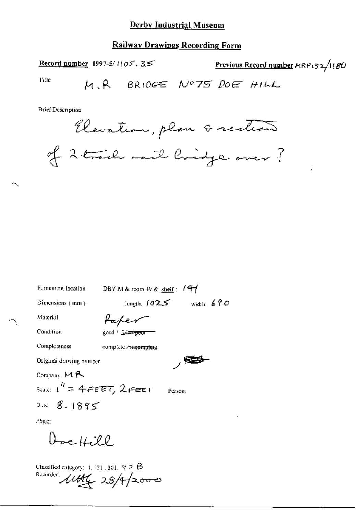#### **Railway Drawings Recording Form**

Previous Record number HRP132/1180 Record number 1997-5/1105.35 Title M.R BRIDGE Nº75 DOE HILL

**Brief Description** 

Elevation, plan a rection of 2 track mail lividge over ?

| Permanent location           | DBYIM & room 49 & shelf:          |
|------------------------------|-----------------------------------|
| Dimensions (mm)              | width, $690$<br>length: 102.5     |
| Material                     | Hapen                             |
| Condition                    | good / _bit <del>≠-poor</del>     |
| Completeness                 | complete / <del>incomple</del> te |
| Original drawing number      | ╭                                 |
| Company, $M \sim$            |                                   |
| Scale: $1'' = 4$ FEET, 2FEET | Person:                           |
| Date: $8.1895$               |                                   |
| Place:                       |                                   |

Doe Hill

Classified category:  $4, 721, 301, 92B$ Recorder *little* 28/4/2000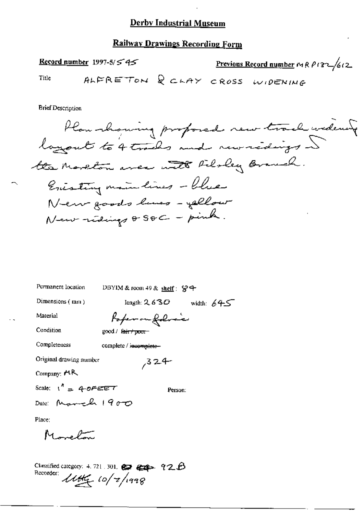#### **Railway Drawings Recording Form**

Record number 1997-5/ $\leq$  4 $\leq$ Previous Record number MRP132/612 ALFRETON & CLAY CROSS WIDENING Title

**Brief Description** 

Plan showing proposed new track widering layout to 4 trades and rewritings ~ the Marchan avec with Filoley Branch. Enisting main lines - Clue New goods lines - yellow New redings & SOC - pink.

Permanent location DBYIM & room 49 & shelf :  $\frac{6}{5}$  + length:  $2.630$  width:  $645$ Dimensions (mm) Poper on following Material Condition good / fair / poor-Completeness complete / incomplete-Original drawing number  $324$ Company: AR Scale:  $1^h = 4.0725T$ Person: Date: March 1900 Place: Morelan

Recorder:  $\mu v$  to / 2/1998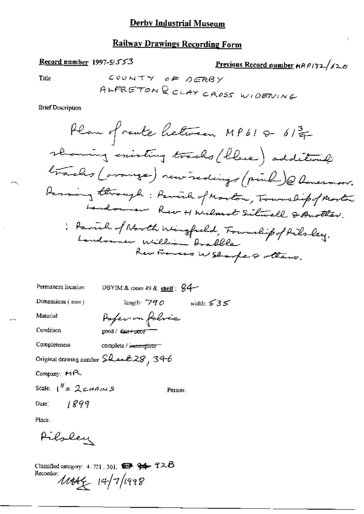#### **Railway Drawings Recording Form**

Record number 1997-5/553

Previous Record number HRP132/620

Title

**Brief Description** 

Permanent location DBYIM & room 49 & shelf :  $\cancel{84}$ length:  $790$  width:  $535$ Dimensions (mm) Paper on folice Material Condition good / fair+poof Completeness complete / inecomplete Original drawing number Shark 28, 34-6 Company: MR Scale:  $1^N = 2c$ HAINS Person:  $1899$ Date: Place:

Pilsley

Classified category: 4, 721, 301,  $\bigcirc$   $\rightarrow$   $\rightarrow$   $\rightarrow$   $\rightarrow$   $\rightarrow$   $\rightarrow$   $\rightarrow$ Recorder:  $14/7/1998$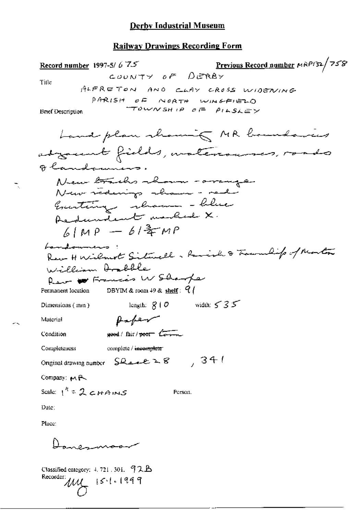### **Railway Drawings Recording Form**

| Previous Record number MRP132/758<br>Record number 1997-5/6 $75$<br>COUNTY OF DERBY<br>Title |
|----------------------------------------------------------------------------------------------|
| ALFRETON AND CLAY CROSS WIDENING                                                             |
| PARISH OF NORTH WINGFIELD                                                                    |
| TOWNSHIP OF PILSLEY<br><b>Brief Description</b>                                              |
| Land plan showing MR boundaries                                                              |
| advant fields, watercourses, roads                                                           |
| Olandomners.                                                                                 |
| New trachs whom - arranger                                                                   |
| New nederings shown - rede                                                                   |
| Executing shown - blue                                                                       |
| Redundent model X.                                                                           |
| $6 MP - b $ = mp                                                                             |
| bandommens :                                                                                 |
| Rev H Wilmot Situall . Raish & Townlip of Monter                                             |
| William <del>Drabb</del> le                                                                  |
| Reve to Francis W Sharper                                                                    |
| Permanent location DBYIM & room 49 & shelf: $Q$                                              |
| length: $g \mid \mathcal{O}$ width: $\leq \mathcal{S} \leq$<br>Dimensions (mm)               |
| Paper<br>Material                                                                            |
| good / fair / poor Low<br>Condition                                                          |
| Completeness<br>complete / incompleter                                                       |
| 7341<br>Original drawing number Sheet 28                                                     |
| Company: MR                                                                                  |
| Scale: $1^4 = 2c$ HAINS<br>Person.                                                           |
| Date:                                                                                        |
| Place:                                                                                       |
|                                                                                              |
|                                                                                              |
|                                                                                              |

Classified category: 4, 721, 301, 92B<br>Recorder:  $\mu$ <br> $\overline{\smash{\bigcup_{k=1}^{k-1}}$  i 5 · 1 · 1999

ħ,

÷.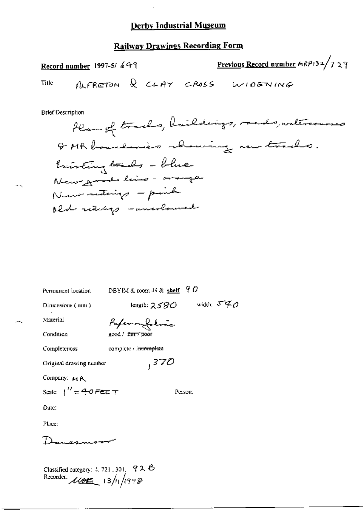### **Railway Drawings Recording Form**

Previous Record number MRP132/729 Record number 1997-5/649 ALFRETON & CLAY CROSS WIDENING Title

**Brief Description** 

÷.

Classified category: 4, 721, 301, 92 B<br>Recorder:  $\mathcal{A}\mathcal{B}$  13/11/1998